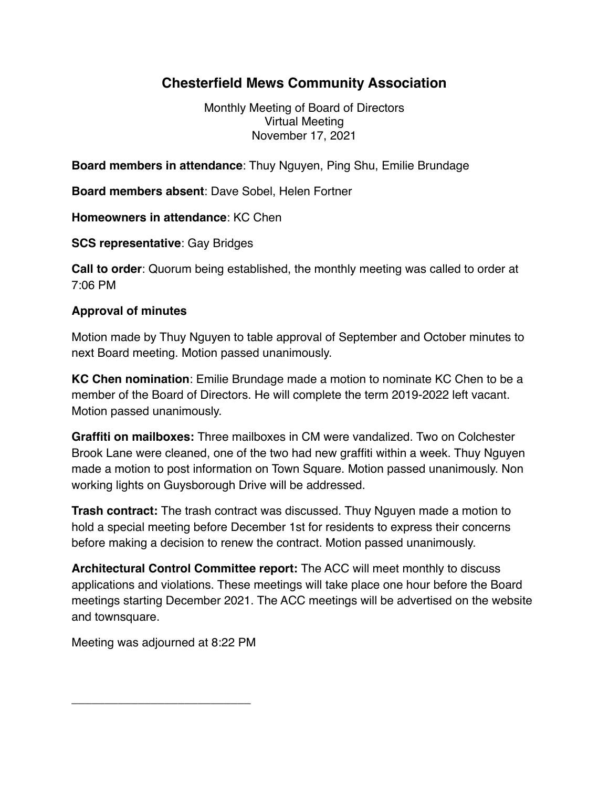## **Chesterfield Mews Community Association**

Monthly Meeting of Board of Directors Virtual Meeting November 17, 2021

**Board members in attendance**: Thuy Nguyen, Ping Shu, Emilie Brundage

**Board members absent**: Dave Sobel, Helen Fortner

**Homeowners in attendance**: KC Chen

**SCS representative**: Gay Bridges

**Call to order**: Quorum being established, the monthly meeting was called to order at 7:06 PM

## **Approval of minutes**

Motion made by Thuy Nguyen to table approval of September and October minutes to next Board meeting. Motion passed unanimously.

**KC Chen nomination**: Emilie Brundage made a motion to nominate KC Chen to be a member of the Board of Directors. He will complete the term 2019-2022 left vacant. Motion passed unanimously.

**Graffiti on mailboxes:** Three mailboxes in CM were vandalized. Two on Colchester Brook Lane were cleaned, one of the two had new graffiti within a week. Thuy Nguyen made a motion to post information on Town Square. Motion passed unanimously. Non working lights on Guysborough Drive will be addressed.

**Trash contract:** The trash contract was discussed. Thuy Nguyen made a motion to hold a special meeting before December 1st for residents to express their concerns before making a decision to renew the contract. Motion passed unanimously.

**Architectural Control Committee report:** The ACC will meet monthly to discuss applications and violations. These meetings will take place one hour before the Board meetings starting December 2021. The ACC meetings will be advertised on the website and townsquare.

Meeting was adjourned at 8:22 PM

\_\_\_\_\_\_\_\_\_\_\_\_\_\_\_\_\_\_\_\_\_\_\_\_\_\_\_